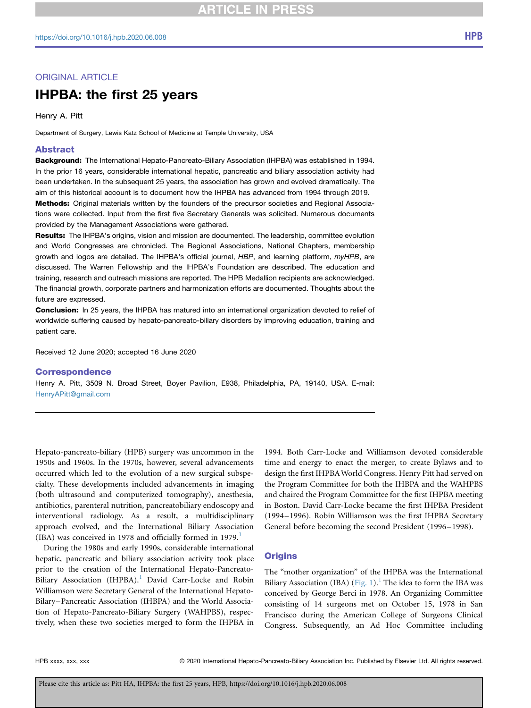# ORIGINAL ARTICLE

# IHPBA: the first 25 years

Henry A. Pitt

Department of Surgery, Lewis Katz School of Medicine at Temple University, USA

### **Abstract**

Background: The International Hepato-Pancreato-Biliary Association (IHPBA) was established in 1994. In the prior 16 years, considerable international hepatic, pancreatic and biliary association activity had been undertaken. In the subsequent 25 years, the association has grown and evolved dramatically. The aim of this historical account is to document how the IHPBA has advanced from 1994 through 2019. Methods: Original materials written by the founders of the precursor societies and Regional Associations were collected. Input from the first five Secretary Generals was solicited. Numerous documents provided by the Management Associations were gathered.

Results: The IHPBA's origins, vision and mission are documented. The leadership, committee evolution and World Congresses are chronicled. The Regional Associations, National Chapters, membership growth and logos are detailed. The IHPBA's official journal, HBP, and learning platform, myHPB, are discussed. The Warren Fellowship and the IHPBA's Foundation are described. The education and training, research and outreach missions are reported. The HPB Medallion recipients are acknowledged. The financial growth, corporate partners and harmonization efforts are documented. Thoughts about the future are expressed.

**Conclusion:** In 25 years, the IHPBA has matured into an international organization devoted to relief of worldwide suffering caused by hepato-pancreato-biliary disorders by improving education, training and patient care.

Received 12 June 2020; accepted 16 June 2020

#### Correspondence

Henry A. Pitt, 3509 N. Broad Street, Boyer Pavilion, E938, Philadelphia, PA, 19140, USA. E-mail: [HenryAPitt@gmail.com](mailto:HenryAPitt@gmail.com)

Hepato-pancreato-biliary (HPB) surgery was uncommon in the 1950s and 1960s. In the 1970s, however, several advancements occurred which led to the evolution of a new surgical subspecialty. These developments included advancements in imaging (both ultrasound and computerized tomography), anesthesia, antibiotics, parenteral nutrition, pancreatobiliary endoscopy and interventional radiology. As a result, a multidisciplinary approach evolved, and the International Biliary Association (IBA) was conceived in [1](#page-10-0)978 and officially formed in 1979. $<sup>1</sup>$ </sup>

During the 1980s and early 1990s, considerable international hepatic, pancreatic and biliary association activity took place prior to the creation of the International Hepato-Pancreato-Biliary Association (IHPBA).<sup>[1](#page-10-0)</sup> David Carr-Locke and Robin Williamson were Secretary General of the International Hepato-Bilary–Pancreatic Association (IHBPA) and the World Association of Hepato-Pancreato-Biliary Surgery (WAHPBS), respectively, when these two societies merged to form the IHPBA in

1994. Both Carr-Locke and Williamson devoted considerable time and energy to enact the merger, to create Bylaws and to design the first IHPBAWorld Congress. Henry Pitt had served on the Program Committee for both the IHBPA and the WAHPBS and chaired the Program Committee for the first IHPBA meeting in Boston. David Carr-Locke became the first IHPBA President (1994–1996). Robin Williamson was the first IHPBA Secretary General before becoming the second President (1996–1998).

# **Origins**

The "mother organization" of the IHPBA was the International Biliary Association (IBA) ([Fig. 1\)](#page-1-0).<sup>[1](#page-10-0)</sup> The idea to form the IBA was conceived by George Berci in 1978. An Organizing Committee consisting of 14 surgeons met on October 15, 1978 in San Francisco during the American College of Surgeons Clinical Congress. Subsequently, an Ad Hoc Committee including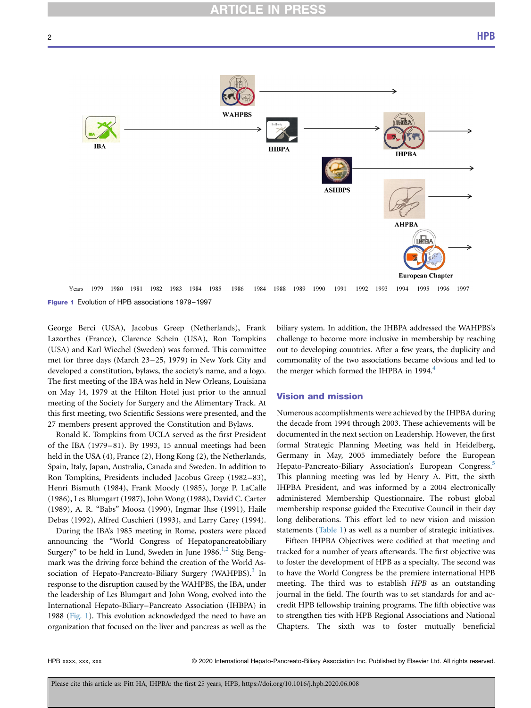<span id="page-1-0"></span>

Figure 1 Evolution of HPB associations 1979–1997

George Berci (USA), Jacobus Greep (Netherlands), Frank Lazorthes (France), Clarence Schein (USA), Ron Tompkins (USA) and Karl Wiechel (Sweden) was formed. This committee met for three days (March 23–25, 1979) in New York City and developed a constitution, bylaws, the society's name, and a logo. The first meeting of the IBA was held in New Orleans, Louisiana on May 14, 1979 at the Hilton Hotel just prior to the annual meeting of the Society for Surgery and the Alimentary Track. At this first meeting, two Scientific Sessions were presented, and the 27 members present approved the Constitution and Bylaws.

Ronald K. Tompkins from UCLA served as the first President of the IBA (1979–81). By 1993, 15 annual meetings had been held in the USA (4), France (2), Hong Kong (2), the Netherlands, Spain, Italy, Japan, Australia, Canada and Sweden. In addition to Ron Tompkins, Presidents included Jacobus Greep (1982–83), Henri Bismuth (1984), Frank Moody (1985), Jorge P. LaCalle (1986), Les Blumgart (1987), John Wong (1988), David C. Carter (1989), A. R. "Babs" Moosa (1990), Ingmar Ihse (1991), Haile Debas (1992), Alfred Cuschieri (1993), and Larry Carey (1994).

During the IBA's 1985 meeting in Rome, posters were placed announcing the "World Congress of Hepatopancreatobiliary Surgery" to be held in Lund, Sweden in June 1986. $^{1,2}$  $^{1,2}$  $^{1,2}$  Stig Bengmark was the driving force behind the creation of the World Association of Hepato-Pancreato-Biliary Surgery (WAHPBS).<sup>3</sup> In response to the disruption caused by the WAHPBS, the IBA, under the leadership of Les Blumgart and John Wong, evolved into the International Hepato-Biliary–Pancreato Association (IHBPA) in 1988 [\(Fig. 1\)](#page-1-0). This evolution acknowledged the need to have an organization that focused on the liver and pancreas as well as the biliary system. In addition, the IHBPA addressed the WAHPBS's challenge to become more inclusive in membership by reaching out to developing countries. After a few years, the duplicity and commonality of the two associations became obvious and led to the merger which formed the IHPBA in 1994.<sup>4</sup>

# Vision and mission

Numerous accomplishments were achieved by the IHPBA during the decade from 1994 through 2003. These achievements will be documented in the next section on Leadership. However, the first formal Strategic Planning Meeting was held in Heidelberg, Germany in May, 2005 immediately before the European Hepato-Pancreato-Biliary Association's European Congress.<sup>5</sup> This planning meeting was led by Henry A. Pitt, the sixth IHPBA President, and was informed by a 2004 electronically administered Membership Questionnaire. The robust global membership response guided the Executive Council in their day long deliberations. This effort led to new vision and mission statements [\(Table 1](#page-2-0)) as well as a number of strategic initiatives.

Fifteen IHPBA Objectives were codified at that meeting and tracked for a number of years afterwards. The first objective was to foster the development of HPB as a specialty. The second was to have the World Congress be the premiere international HPB meeting. The third was to establish HPB as an outstanding journal in the field. The fourth was to set standards for and accredit HPB fellowship training programs. The fifth objective was to strengthen ties with HPB Regional Associations and National Chapters. The sixth was to foster mutually beneficial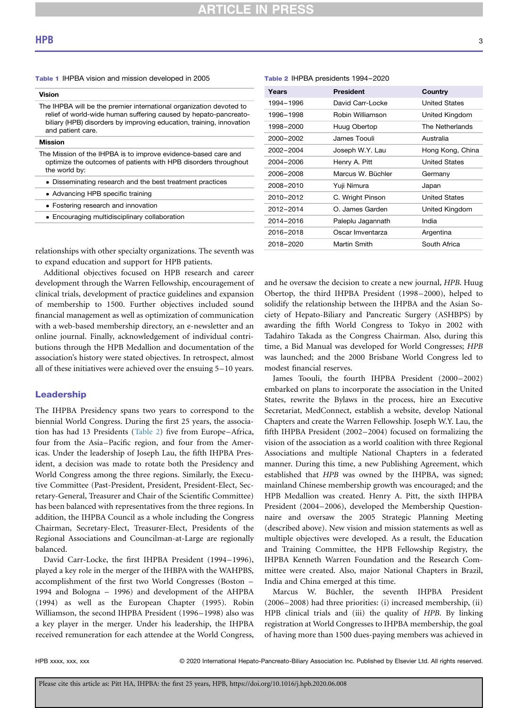Mission

# <span id="page-2-0"></span>Table 1 IHPBA vision and mission developed in 2005

Vision The IHPBA will be the premier international organization devoted to relief of world-wide human suffering caused by hepato-pancreatobiliary (HPB) disorders by improving education, training, innovation and patient care.

The Mission of the IHPBA is to improve evidence-based care and optimize the outcomes of patients with HPB disorders throughout the world by:

- Disseminating research and the best treatment practices
- Advancing HPB specific training
- Fostering research and innovation
- Encouraging multidisciplinary collaboration

# **Years** President Country 1994–1996 David Carr-Locke United States 1996–1998 Robin Williamson United Kingdom 1998–2000 Huug Obertop The Netherlands 2000–2002 James Toouli Australia 2002–2004 Joseph W.Y. Lau Hong Kong, China 2004–2006 Henry A. Pitt United States 2006–2008 Marcus W. Büchler Germany

2008–2010 Yuji Nimura Japan 2010–2012 C. Wright Pinson United States 2012–2014 O. James Garden United Kingdom

2014–2016 Paleplu Jagannath India 2016–2018 Oscar Imventarza Argentina 2018–2020 Martin Smith South Africa

<span id="page-2-1"></span>Table 2 IHPBA presidents 1994–2020

relationships with other specialty organizations. The seventh was to expand education and support for HPB patients.

Additional objectives focused on HPB research and career development through the Warren Fellowship, encouragement of clinical trials, development of practice guidelines and expansion of membership to 1500. Further objectives included sound financial management as well as optimization of communication with a web-based membership directory, an e-newsletter and an online journal. Finally, acknowledgement of individual contributions through the HPB Medallion and documentation of the association's history were stated objectives. In retrospect, almost all of these initiatives were achieved over the ensuing 5–10 years.

# Leadership

The IHPBA Presidency spans two years to correspond to the biennial World Congress. During the first 25 years, the association has had 13 Presidents ([Table 2](#page-2-1)) five from Europe–Africa, four from the Asia–Pacific region, and four from the Americas. Under the leadership of Joseph Lau, the fifth IHPBA President, a decision was made to rotate both the Presidency and World Congress among the three regions. Similarly, the Executive Committee (Past-President, President, President-Elect, Secretary-General, Treasurer and Chair of the Scientific Committee) has been balanced with representatives from the three regions. In addition, the IHPBA Council as a whole including the Congress Chairman, Secretary-Elect, Treasurer-Elect, Presidents of the Regional Associations and Councilman-at-Large are regionally balanced.

David Carr-Locke, the first IHPBA President (1994–1996), played a key role in the merger of the IHBPA with the WAHPBS, accomplishment of the first two World Congresses (Boston – 1994 and Bologna – 1996) and development of the AHPBA (1994) as well as the European Chapter (1995). Robin Williamson, the second IHPBA President (1996–1998) also was a key player in the merger. Under his leadership, the IHPBA received remuneration for each attendee at the World Congress, and he oversaw the decision to create a new journal, HPB. Huug Obertop, the third IHPBA President (1998–2000), helped to solidify the relationship between the IHPBA and the Asian Society of Hepato-Biliary and Pancreatic Surgery (ASHBPS) by awarding the fifth World Congress to Tokyo in 2002 with Tadahiro Takada as the Congress Chairman. Also, during this time, a Bid Manual was developed for World Congresses; HPB was launched; and the 2000 Brisbane World Congress led to modest financial reserves.

James Toouli, the fourth IHPBA President (2000–2002) embarked on plans to incorporate the association in the United States, rewrite the Bylaws in the process, hire an Executive Secretariat, MedConnect, establish a website, develop National Chapters and create the Warren Fellowship. Joseph W.Y. Lau, the fifth IHPBA President (2002–2004) focused on formalizing the vision of the association as a world coalition with three Regional Associations and multiple National Chapters in a federated manner. During this time, a new Publishing Agreement, which established that HPB was owned by the IHPBA, was signed; mainland Chinese membership growth was encouraged; and the HPB Medallion was created. Henry A. Pitt, the sixth IHPBA President (2004–2006), developed the Membership Questionnaire and oversaw the 2005 Strategic Planning Meeting (described above). New vision and mission statements as well as multiple objectives were developed. As a result, the Education and Training Committee, the HPB Fellowship Registry, the IHPBA Kenneth Warren Foundation and the Research Committee were created. Also, major National Chapters in Brazil, India and China emerged at this time.

Marcus W. Büchler, the seventh IHPBA President (2006–2008) had three priorities: (i) increased membership, (ii) HPB clinical trials and (iii) the quality of HPB. By linking registration at World Congresses to IHPBA membership, the goal of having more than 1500 dues-paying members was achieved in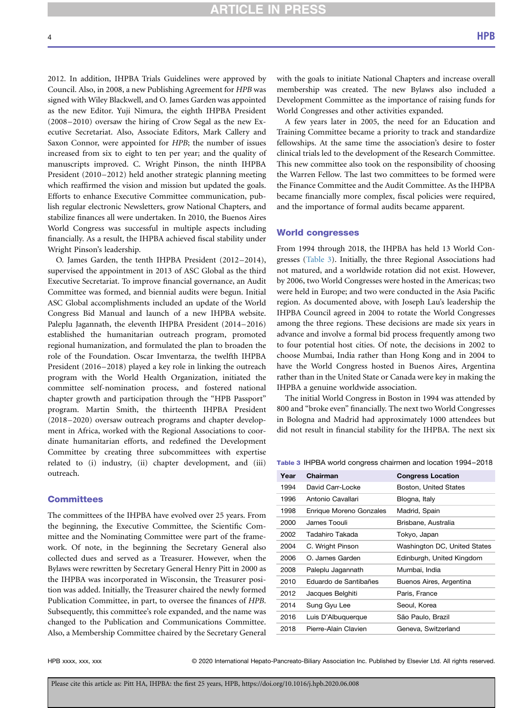2012. In addition, IHPBA Trials Guidelines were approved by Council. Also, in 2008, a new Publishing Agreement for HPB was signed with Wiley Blackwell, and O. James Garden was appointed as the new Editor. Yuji Nimura, the eighth IHPBA President (2008–2010) oversaw the hiring of Crow Segal as the new Executive Secretariat. Also, Associate Editors, Mark Callery and Saxon Connor, were appointed for HPB; the number of issues increased from six to eight to ten per year; and the quality of manuscripts improved. C. Wright Pinson, the ninth IHPBA President (2010–2012) held another strategic planning meeting which reaffirmed the vision and mission but updated the goals. Efforts to enhance Executive Committee communication, publish regular electronic Newsletters, grow National Chapters, and stabilize finances all were undertaken. In 2010, the Buenos Aires World Congress was successful in multiple aspects including financially. As a result, the IHPBA achieved fiscal stability under Wright Pinson's leadership.

O. James Garden, the tenth IHPBA President (2012–2014), supervised the appointment in 2013 of ASC Global as the third Executive Secretariat. To improve financial governance, an Audit Committee was formed, and biennial audits were begun. Initial ASC Global accomplishments included an update of the World Congress Bid Manual and launch of a new IHPBA website. Paleplu Jagannath, the eleventh IHPBA President (2014–2016) established the humanitarian outreach program, promoted regional humanization, and formulated the plan to broaden the role of the Foundation. Oscar Imventarza, the twelfth IHPBA President (2016–2018) played a key role in linking the outreach program with the World Health Organization, initiated the committee self-nomination process, and fostered national chapter growth and participation through the "HPB Passport" program. Martin Smith, the thirteenth IHPBA President (2018–2020) oversaw outreach programs and chapter development in Africa, worked with the Regional Associations to coordinate humanitarian efforts, and redefined the Development Committee by creating three subcommittees with expertise related to (i) industry, (ii) chapter development, and (iii) outreach.

# **Committees**

The committees of the IHPBA have evolved over 25 years. From the beginning, the Executive Committee, the Scientific Committee and the Nominating Committee were part of the framework. Of note, in the beginning the Secretary General also collected dues and served as a Treasurer. However, when the Bylaws were rewritten by Secretary General Henry Pitt in 2000 as the IHPBA was incorporated in Wisconsin, the Treasurer position was added. Initially, the Treasurer chaired the newly formed Publication Committee, in part, to oversee the finances of HPB. Subsequently, this committee's role expanded, and the name was changed to the Publication and Communications Committee. Also, a Membership Committee chaired by the Secretary General

with the goals to initiate National Chapters and increase overall membership was created. The new Bylaws also included a Development Committee as the importance of raising funds for World Congresses and other activities expanded.

A few years later in 2005, the need for an Education and Training Committee became a priority to track and standardize fellowships. At the same time the association's desire to foster clinical trials led to the development of the Research Committee. This new committee also took on the responsibility of choosing the Warren Fellow. The last two committees to be formed were the Finance Committee and the Audit Committee. As the IHPBA became financially more complex, fiscal policies were required, and the importance of formal audits became apparent.

# World congresses

From 1994 through 2018, the IHPBA has held 13 World Congresses [\(Table 3\)](#page-3-0). Initially, the three Regional Associations had not matured, and a worldwide rotation did not exist. However, by 2006, two World Congresses were hosted in the Americas; two were held in Europe; and two were conducted in the Asia Pacific region. As documented above, with Joseph Lau's leadership the IHPBA Council agreed in 2004 to rotate the World Congresses among the three regions. These decisions are made six years in advance and involve a formal bid process frequently among two to four potential host cities. Of note, the decisions in 2002 to choose Mumbai, India rather than Hong Kong and in 2004 to have the World Congress hosted in Buenos Aires, Argentina rather than in the United State or Canada were key in making the IHPBA a genuine worldwide association.

The initial World Congress in Boston in 1994 was attended by 800 and "broke even" financially. The next two World Congresses in Bologna and Madrid had approximately 1000 attendees but did not result in financial stability for the IHPBA. The next six

<span id="page-3-0"></span>Table 3 IHPBA world congress chairmen and location 1994–2018

| Year | Chairman                | <b>Congress Location</b>     |
|------|-------------------------|------------------------------|
| 1994 | David Carr-Locke        | Boston, United States        |
| 1996 | Antonio Cavallari       | Blogna, Italy                |
| 1998 | Enrique Moreno Gonzales | Madrid, Spain                |
| 2000 | James Toouli            | Brisbane, Australia          |
| 2002 | Tadahiro Takada         | Tokyo, Japan                 |
| 2004 | C. Wright Pinson        | Washington DC, United States |
| 2006 | O. James Garden         | Edinburgh, United Kingdom    |
| 2008 | Paleplu Jagannath       | Mumbai, India                |
| 2010 | Eduardo de Santibañes   | Buenos Aires, Argentina      |
| 2012 | Jacques Belghiti        | Paris, France                |
| 2014 | Sung Gyu Lee            | Seoul, Korea                 |
| 2016 | Luis D'Albuguergue      | São Paulo, Brazil            |
| 2018 | Pierre-Alain Clavien    | Geneva, Switzerland          |
|      |                         |                              |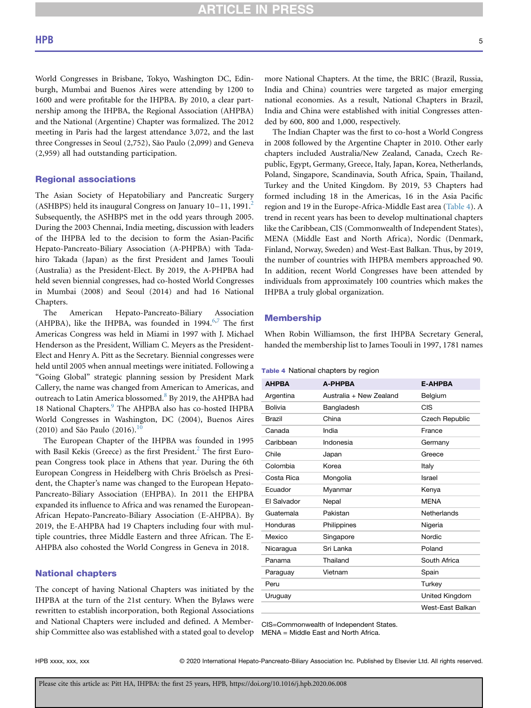# **ARTICLE IN PRESS**

World Congresses in Brisbane, Tokyo, Washington DC, Edinburgh, Mumbai and Buenos Aires were attending by 1200 to 1600 and were profitable for the IHPBA. By 2010, a clear partnership among the IHPBA, the Regional Association (AHPBA) and the National (Argentine) Chapter was formalized. The 2012 meeting in Paris had the largest attendance 3,072, and the last three Congresses in Seoul (2,752), São Paulo (2,099) and Geneva (2,959) all had outstanding participation.

# Regional associations

The Asian Society of Hepatobiliary and Pancreatic Surgery (ASHBPS) held its inaugural Congress on January  $10-11$ ,  $1991<sup>2</sup>$  $1991<sup>2</sup>$  $1991<sup>2</sup>$ Subsequently, the ASHBPS met in the odd years through 2005. During the 2003 Chennai, India meeting, discussion with leaders of the IHPBA led to the decision to form the Asian-Pacific Hepato-Pancreato-Biliary Association (A-PHPBA) with Tadahiro Takada (Japan) as the first President and James Toouli (Australia) as the President-Elect. By 2019, the A-PHPBA had held seven biennial congresses, had co-hosted World Congresses in Mumbai (2008) and Seoul (2014) and had 16 National Chapters.

The American Hepato-Pancreato-Biliary Association (AHPBA), like the IHPBA, was founded in  $1994$ .<sup>[6](#page-11-1)[,7](#page-11-2)</sup> The first Americas Congress was held in Miami in 1997 with J. Michael Henderson as the President, William C. Meyers as the President-Elect and Henry A. Pitt as the Secretary. Biennial congresses were held until 2005 when annual meetings were initiated. Following a "Going Global" strategic planning session by President Mark Callery, the name was changed from American to Americas, and outreach to Latin America blossomed.<sup>[8](#page-11-3)</sup> By 2019, the AHPBA had 18 National Chapters.<sup>[9](#page-11-4)</sup> The AHPBA also has co-hosted IHPBA World Congresses in Washington, DC (2004), Buenos Aires (20[10](#page-11-5)) and São Paulo (2016).<sup>10</sup>

The European Chapter of the IHPBA was founded in 1995 with Basil Kekis (Greece) as the first President.<sup>[2](#page-10-1)</sup> The first European Congress took place in Athens that year. During the 6th European Congress in Heidelberg with Chris Bröelsch as President, the Chapter's name was changed to the European Hepato-Pancreato-Biliary Association (EHPBA). In 2011 the EHPBA expanded its influence to Africa and was renamed the European-African Hepato-Pancreato-Biliary Association (E-AHPBA). By 2019, the E-AHPBA had 19 Chapters including four with multiple countries, three Middle Eastern and three African. The E-AHPBA also cohosted the World Congress in Geneva in 2018.

# National chapters

The concept of having National Chapters was initiated by the IHPBA at the turn of the 21st century. When the Bylaws were rewritten to establish incorporation, both Regional Associations and National Chapters were included and defined. A Membership Committee also was established with a stated goal to develop

more National Chapters. At the time, the BRIC (Brazil, Russia, India and China) countries were targeted as major emerging national economies. As a result, National Chapters in Brazil, India and China were established with initial Congresses attended by 600, 800 and 1,000, respectively.

The Indian Chapter was the first to co-host a World Congress in 2008 followed by the Argentine Chapter in 2010. Other early chapters included Australia/New Zealand, Canada, Czech Republic, Egypt, Germany, Greece, Italy, Japan, Korea, Netherlands, Poland, Singapore, Scandinavia, South Africa, Spain, Thailand, Turkey and the United Kingdom. By 2019, 53 Chapters had formed including 18 in the Americas, 16 in the Asia Pacific region and 19 in the Europe-Africa-Middle East area ([Table 4\)](#page-4-0). A trend in recent years has been to develop multinational chapters like the Caribbean, CIS (Commonwealth of Independent States), MENA (Middle East and North Africa), Nordic (Denmark, Finland, Norway, Sweden) and West-East Balkan. Thus, by 2019, the number of countries with IHPBA members approached 90. In addition, recent World Congresses have been attended by individuals from approximately 100 countries which makes the IHPBA a truly global organization.

### Membership

When Robin Williamson, the first IHPBA Secretary General, handed the membership list to James Toouli in 1997, 1781 names

<span id="page-4-0"></span>Table 4 National chapters by region

| <b>AHPBA</b>   | <b>A-PHPBA</b>          | <b>E-AHPBA</b>   |
|----------------|-------------------------|------------------|
| Argentina      | Australia + New Zealand | Belgium          |
| <b>Bolivia</b> | Bangladesh              | CIS              |
| Brazil         | China                   | Czech Republic   |
| Canada         | India                   | France           |
| Caribbean      | Indonesia               | Germany          |
| Chile          | Japan                   | Greece           |
| Colombia       | Korea                   | Italy            |
| Costa Rica     | Mongolia                | Israel           |
| Ecuador        | Myanmar                 | Kenya            |
| El Salvador    | Nepal                   | <b>MENA</b>      |
| Guatemala      | Pakistan                | Netherlands      |
| Honduras       | Philippines             | Nigeria          |
| Mexico         | Singapore               | Nordic           |
| Nicaragua      | Sri Lanka               | Poland           |
| Panama         | Thailand                | South Africa     |
| Paraguay       | Vietnam                 | Spain            |
| Peru           |                         | Turkey           |
| Uruguay        |                         | United Kingdom   |
|                |                         | West-East Balkan |

CIS=Commonwealth of Independent States. MENA = Middle East and North Africa.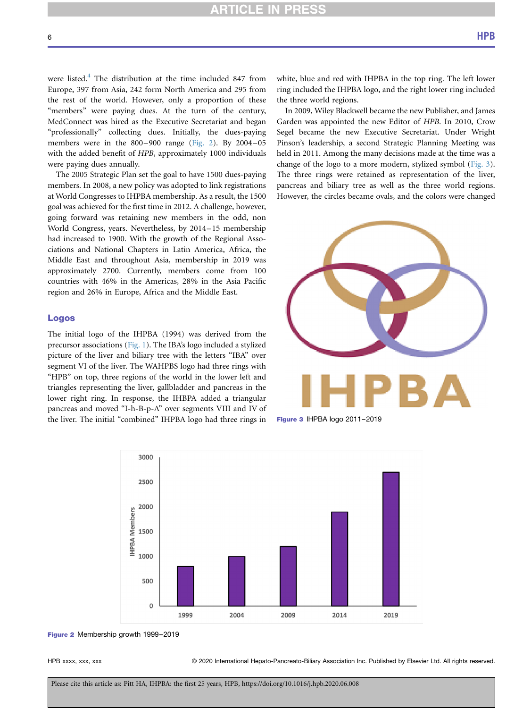# **RTICLE IN PRES**

were listed.[4](#page-10-3) The distribution at the time included 847 from Europe, 397 from Asia, 242 form North America and 295 from the rest of the world. However, only a proportion of these "members" were paying dues. At the turn of the century, MedConnect was hired as the Executive Secretariat and began "professionally" collecting dues. Initially, the dues-paying members were in the 800–900 range [\(Fig. 2\)](#page-5-0). By 2004–05 with the added benefit of HPB, approximately 1000 individuals were paying dues annually.

The 2005 Strategic Plan set the goal to have 1500 dues-paying members. In 2008, a new policy was adopted to link registrations at World Congresses to IHPBA membership. As a result, the 1500 goal was achieved for the first time in 2012. A challenge, however, going forward was retaining new members in the odd, non World Congress, years. Nevertheless, by 2014–15 membership had increased to 1900. With the growth of the Regional Associations and National Chapters in Latin America, Africa, the Middle East and throughout Asia, membership in 2019 was approximately 2700. Currently, members come from 100 countries with 46% in the Americas, 28% in the Asia Pacific region and 26% in Europe, Africa and the Middle East.

### Logos

The initial logo of the IHPBA (1994) was derived from the precursor associations [\(Fig. 1\)](#page-1-0). The IBA's logo included a stylized picture of the liver and biliary tree with the letters "IBA" over segment VI of the liver. The WAHPBS logo had three rings with "HPB" on top, three regions of the world in the lower left and triangles representing the liver, gallbladder and pancreas in the lower right ring. In response, the IHBPA added a triangular pancreas and moved "I-h-B-p-A" over segments VIII and IV of the liver. The initial "combined" IHPBA logo had three rings in

white, blue and red with IHPBA in the top ring. The left lower ring included the IHPBA logo, and the right lower ring included the three world regions.

In 2009, Wiley Blackwell became the new Publisher, and James Garden was appointed the new Editor of HPB. In 2010, Crow Segel became the new Executive Secretariat. Under Wright Pinson's leadership, a second Strategic Planning Meeting was held in 2011. Among the many decisions made at the time was a change of the logo to a more modern, stylized symbol [\(Fig. 3\)](#page-5-1). The three rings were retained as representation of the liver, pancreas and biliary tree as well as the three world regions. However, the circles became ovals, and the colors were changed

<span id="page-5-1"></span>

Figure 3 IHPBA logo 2011–2019

<span id="page-5-0"></span>

Figure 2 Membership growth 1999-2019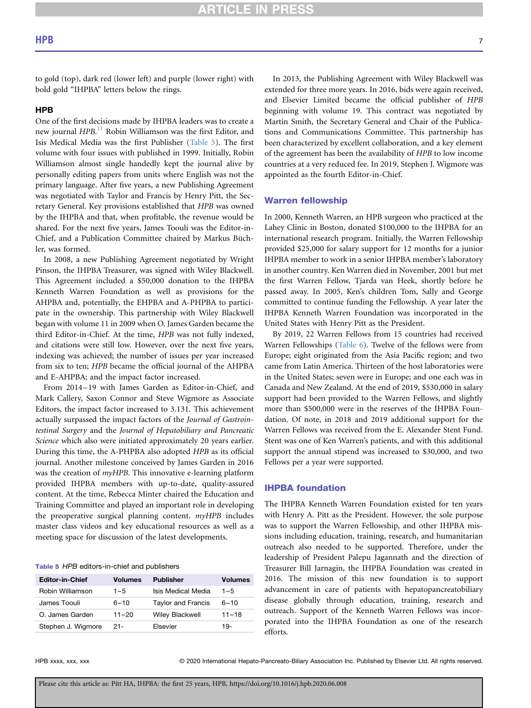to gold (top), dark red (lower left) and purple (lower right) with bold gold "IHPBA" letters below the rings.

# HPB

One of the first decisions made by IHPBA leaders was to create a new journal HPB.<sup>[11](#page-11-6)</sup> Robin Williamson was the first Editor, and Isis Medical Media was the first Publisher ([Table 5\)](#page-6-0). The first volume with four issues with published in 1999. Initially, Robin Williamson almost single handedly kept the journal alive by personally editing papers from units where English was not the primary language. After five years, a new Publishing Agreement was negotiated with Taylor and Francis by Henry Pitt, the Secretary General. Key provisions established that HPB was owned by the IHPBA and that, when profitable, the revenue would be shared. For the next five years, James Toouli was the Editor-in-Chief, and a Publication Committee chaired by Markus Büchler, was formed.

In 2008, a new Publishing Agreement negotiated by Wright Pinson, the IHPBA Treasurer, was signed with Wiley Blackwell. This Agreement included a \$50,000 donation to the IHPBA Kenneth Warren Foundation as well as provisions for the AHPBA and, potentially, the EHPBA and A-PHPBA to participate in the ownership. This partnership with Wiley Blackwell began with volume 11 in 2009 when O. James Garden became the third Editor-in-Chief. At the time, HPB was not fully indexed, and citations were still low. However, over the next five years, indexing was achieved; the number of issues per year increased from six to ten; HPB became the official journal of the AHPBA and E-AHPBA; and the impact factor increased.

From 2014–19 with James Garden as Editor-in-Chief, and Mark Callery, Saxon Connor and Steve Wigmore as Associate Editors, the impact factor increased to 3.131. This achievement actually surpassed the impact factors of the Journal of Gastrointestinal Surgery and the Journal of Hepatobiliary and Pancreatic Science which also were initiated approximately 20 years earlier. During this time, the A-PHPBA also adopted HPB as its official journal. Another milestone conceived by James Garden in 2016 was the creation of myHPB. This innovative e-learning platform provided IHPBA members with up-to-date, quality-assured content. At the time, Rebecca Minter chaired the Education and Training Committee and played an important role in developing the preoperative surgical planning content. myHPB includes master class videos and key educational resources as well as a meeting space for discussion of the latest developments.

#### <span id="page-6-0"></span>Table 5 HPB editors-in-chief and publishers

| <b>Editor-in-Chief</b> | <b>Volumes</b> | <b>Publisher</b>          | <b>Volumes</b> |
|------------------------|----------------|---------------------------|----------------|
| Robin Williamson       | $1 - 5$        | Isis Medical Media        | $1 - 5$        |
| James Toouli           | $6 - 10$       | <b>Taylor and Francis</b> | $6 - 10$       |
| O. James Garden        | $11 - 20$      | <b>Wiley Blackwell</b>    | $11 - 18$      |
| Stephen J. Wigmore     | $21 -$         | Elsevier                  | 19-            |
|                        |                |                           |                |

In 2013, the Publishing Agreement with Wiley Blackwell was extended for three more years. In 2016, bids were again received, and Elsevier Limited became the official publisher of HPB beginning with volume 19. This contract was negotiated by Martin Smith, the Secretary General and Chair of the Publications and Communications Committee. This partnership has been characterized by excellent collaboration, and a key element of the agreement has been the availability of HPB to low income countries at a very reduced fee. In 2019, Stephen J. Wigmore was appointed as the fourth Editor-in-Chief.

## Warren fellowship

In 2000, Kenneth Warren, an HPB surgeon who practiced at the Lahey Clinic in Boston, donated \$100,000 to the IHPBA for an international research program. Initially, the Warren Fellowship provided \$25,000 for salary support for 12 months for a junior IHPBA member to work in a senior IHPBA member's laboratory in another country. Ken Warren died in November, 2001 but met the first Warren Fellow, Tjarda van Heek, shortly before he passed away. In 2005, Ken's children Tom, Sally and George committed to continue funding the Fellowship. A year later the IHPBA Kenneth Warren Foundation was incorporated in the United States with Henry Pitt as the President.

By 2019, 22 Warren Fellows from 15 countries had received Warren Fellowships [\(Table 6\)](#page-7-0). Twelve of the fellows were from Europe; eight originated from the Asia Pacific region; and two came from Latin America. Thirteen of the host laboratories were in the United States; seven were in Europe; and one each was in Canada and New Zealand. At the end of 2019, \$530,000 in salary support had been provided to the Warren Fellows, and slightly more than \$500,000 were in the reserves of the IHPBA Foundation. Of note, in 2018 and 2019 additional support for the Warren Fellows was received from the E. Alexander Stent Fund. Stent was one of Ken Warren's patients, and with this additional support the annual stipend was increased to \$30,000, and two Fellows per a year were supported.

# IHPBA foundation

The IHPBA Kenneth Warren Foundation existed for ten years with Henry A. Pitt as the President. However, the sole purpose was to support the Warren Fellowship, and other IHPBA missions including education, training, research, and humanitarian outreach also needed to be supported. Therefore, under the leadership of President Palepu Jagannath and the direction of Treasurer Bill Jarnagin, the IHPBA Foundation was created in 2016. The mission of this new foundation is to support advancement in care of patients with hepatopancreatobiliary disease globally through education, training, research and outreach. Support of the Kenneth Warren Fellows was incorporated into the IHPBA Foundation as one of the research efforts.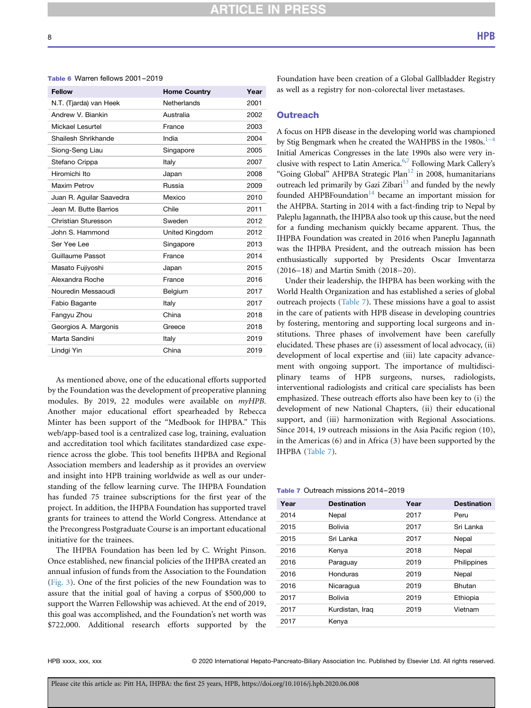| <b>Fellow</b>            | <b>Home Country</b> | Year |
|--------------------------|---------------------|------|
| N.T. (Tjarda) van Heek   | Netherlands         | 2001 |
| Andrew V. Biankin        | Australia           | 2002 |
| Mickael Lesurtel         | France              | 2003 |
| Shailesh Shrikhande      | India               | 2004 |
| Siong-Seng Liau          | Singapore           | 2005 |
| Stefano Crippa           | Italy               | 2007 |
| Hiromichi Ito            | Japan               | 2008 |
| Maxim Petrov             | Russia              | 2009 |
| Juan R. Aguilar Saavedra | Mexico              | 2010 |
| Jean M. Butte Barrios    | Chile               | 2011 |
| Christian Sturesson      | Sweden              | 2012 |
| John S. Hammond          | United Kingdom      | 2012 |
| Ser Yee Lee              | Singapore           | 2013 |
| Guillaume Passot         | France              | 2014 |
| Masato Fujiyoshi         | Japan               | 2015 |
| Alexandra Roche          | France              | 2016 |
| Nouredin Messaoudi       | Belgium             | 2017 |
| Fabio Bagante            | Italy               | 2017 |
| Fangyu Zhou              | China               | 2018 |
| Georgios A. Margonis     | Greece              | 2018 |
| Marta Sandini            | Italy               | 2019 |
| Lindgi Yin               | China               | 2019 |

<span id="page-7-0"></span>Table 6 Warren fellows 2001–2019

As mentioned above, one of the educational efforts supported by the Foundation was the development of preoperative planning modules. By 2019, 22 modules were available on myHPB. Another major educational effort spearheaded by Rebecca Minter has been support of the "Medbook for IHPBA." This web/app-based tool is a centralized case log, training, evaluation and accreditation tool which facilitates standardized case experience across the globe. This tool benefits IHPBA and Regional Association members and leadership as it provides an overview and insight into HPB training worldwide as well as our understanding of the fellow learning curve. The IHPBA Foundation has funded 75 trainee subscriptions for the first year of the project. In addition, the IHPBA Foundation has supported travel grants for trainees to attend the World Congress. Attendance at the Precongress Postgraduate Course is an important educational initiative for the trainees.

The IHPBA Foundation has been led by C. Wright Pinson. Once established, new financial policies of the IHPBA created an annual infusion of funds from the Association to the Foundation ([Fig. 3\)](#page-5-1). One of the first policies of the new Foundation was to assure that the initial goal of having a corpus of \$500,000 to support the Warren Fellowship was achieved. At the end of 2019, this goal was accomplished, and the Foundation's net worth was \$722,000. Additional research efforts supported by the

Foundation have been creation of a Global Gallbladder Registry as well as a registry for non-colorectal liver metastases.

### **Outreach**

A focus on HPB disease in the developing world was championed by Stig Bengmark when he created the WAHPBS in the  $1980s$ .<sup>1–4</sup> Initial Americas Congresses in the late 1990s also were very in-clusive with respect to Latin America.<sup>6[,7](#page-11-2)</sup> Following Mark Callery's "Going Global" AHPBA Strategic Plan<sup>12</sup> in 2008, humanitarians outreach led primarily by Gazi  $Zibari<sup>13</sup>$  $Zibari<sup>13</sup>$  $Zibari<sup>13</sup>$  and funded by the newly founded AHPBFoundation<sup>14</sup> became an important mission for the AHPBA. Starting in 2014 with a fact-finding trip to Nepal by Paleplu Jagannath, the IHPBA also took up this cause, but the need for a funding mechanism quickly became apparent. Thus, the IHPBA Foundation was created in 2016 when Paneplu Jagannath was the IHPBA President, and the outreach mission has been enthusiastically supported by Presidents Oscar Imventarza (2016–18) and Martin Smith (2018–20).

Under their leadership, the IHPBA has been working with the World Health Organization and has established a series of global outreach projects ([Table 7\)](#page-7-1). These missions have a goal to assist in the care of patients with HPB disease in developing countries by fostering, mentoring and supporting local surgeons and institutions. Three phases of involvement have been carefully elucidated. These phases are (i) assessment of local advocacy, (ii) development of local expertise and (iii) late capacity advancement with ongoing support. The importance of multidisciplinary teams of HPB surgeons, nurses, radiologists, interventional radiologists and critical care specialists has been emphasized. These outreach efforts also have been key to (i) the development of new National Chapters, (ii) their educational support, and (iii) harmonization with Regional Associations. Since 2014, 19 outreach missions in the Asia Pacific region (10), in the Americas (6) and in Africa (3) have been supported by the IHPBA [\(Table 7](#page-7-1)).

### <span id="page-7-1"></span>Table 7 Outreach missions 2014–2019

| Year | <b>Destination</b> | Year | <b>Destination</b> |
|------|--------------------|------|--------------------|
| 2014 | Nepal              | 2017 | Peru               |
| 2015 | Bolivia            | 2017 | Sri Lanka          |
| 2015 | Sri Lanka          | 2017 | Nepal              |
| 2016 | Kenya              | 2018 | Nepal              |
| 2016 | Paraguay           | 2019 | Philippines        |
| 2016 | Honduras           | 2019 | Nepal              |
| 2016 | Nicaragua          | 2019 | Bhutan             |
| 2017 | Bolivia            | 2019 | Ethiopia           |
| 2017 | Kurdistan, Iraq    | 2019 | Vietnam            |
| 2017 | Kenya              |      |                    |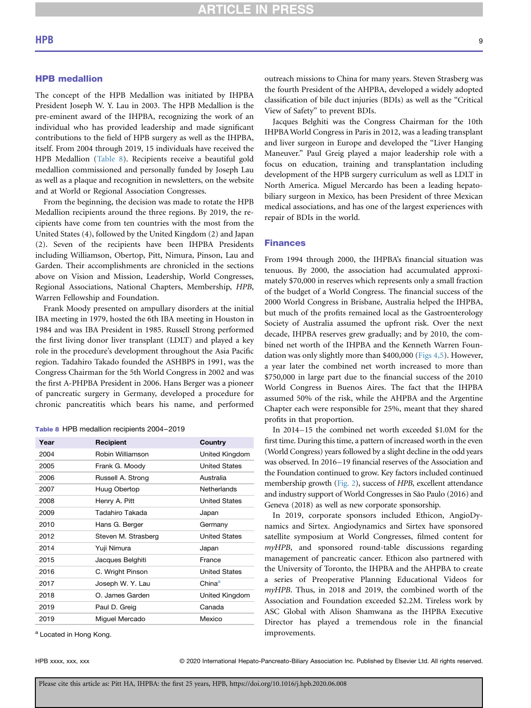# HPB medallion

The concept of the HPB Medallion was initiated by IHPBA President Joseph W. Y. Lau in 2003. The HPB Medallion is the pre-eminent award of the IHPBA, recognizing the work of an individual who has provided leadership and made significant contributions to the field of HPB surgery as well as the IHPBA, itself. From 2004 through 2019, 15 individuals have received the HPB Medallion ([Table 8\)](#page-8-0). Recipients receive a beautiful gold medallion commissioned and personally funded by Joseph Lau as well as a plaque and recognition in newsletters, on the website and at World or Regional Association Congresses.

From the beginning, the decision was made to rotate the HPB Medallion recipients around the three regions. By 2019, the recipients have come from ten countries with the most from the United States (4), followed by the United Kingdom (2) and Japan (2). Seven of the recipients have been IHPBA Presidents including Williamson, Obertop, Pitt, Nimura, Pinson, Lau and Garden. Their accomplishments are chronicled in the sections above on Vision and Mission, Leadership, World Congresses, Regional Associations, National Chapters, Membership, HPB, Warren Fellowship and Foundation.

Frank Moody presented on ampullary disorders at the initial IBA meeting in 1979, hosted the 6th IBA meeting in Houston in 1984 and was IBA President in 1985. Russell Strong performed the first living donor liver transplant (LDLT) and played a key role in the procedure's development throughout the Asia Pacific region. Tadahiro Takado founded the ASHBPS in 1991, was the Congress Chairman for the 5th World Congress in 2002 and was the first A-PHPBA President in 2006. Hans Berger was a pioneer of pancreatic surgery in Germany, developed a procedure for chronic pancreatitis which bears his name, and performed

#### <span id="page-8-0"></span>Table 8 HPB medallion recipients 2004–2019

| Year | Recipient           | Country               |
|------|---------------------|-----------------------|
| 2004 | Robin Williamson    | United Kingdom        |
| 2005 | Frank G. Moody      | <b>United States</b>  |
| 2006 | Russell A. Strong   | Australia             |
| 2007 | Huug Obertop        | <b>Netherlands</b>    |
| 2008 | Henry A. Pitt       | <b>United States</b>  |
| 2009 | Tadahiro Takada     | Japan                 |
| 2010 | Hans G. Berger      | Germany               |
| 2012 | Steven M. Strasberg | <b>United States</b>  |
| 2014 | Yuji Nimura         | Japan                 |
| 2015 | Jacques Belghiti    | France                |
| 2016 | C. Wright Pinson    | <b>United States</b>  |
| 2017 | Joseph W. Y. Lau    | China <sup>a</sup>    |
| 2018 | O. James Garden     | <b>United Kingdom</b> |
| 2019 | Paul D. Greig       | Canada                |
| 2019 | Miguel Mercado      | Mexico                |

<span id="page-8-1"></span><sup>a</sup> Located in Hong Kong.

HPB xxxx, xxx, xxx 
reserved. © 2020 International Hepato-Pancreato-Biliary Association Inc. Published by Elsevier Ltd. All rights reserved.

outreach missions to China for many years. Steven Strasberg was the fourth President of the AHPBA, developed a widely adopted classification of bile duct injuries (BDIs) as well as the "Critical View of Safety" to prevent BDIs.

Jacques Belghiti was the Congress Chairman for the 10th IHPBAWorld Congress in Paris in 2012, was a leading transplant and liver surgeon in Europe and developed the "Liver Hanging Maneuver." Paul Greig played a major leadership role with a focus on education, training and transplantation including development of the HPB surgery curriculum as well as LDLT in North America. Miguel Mercardo has been a leading hepatobiliary surgeon in Mexico, has been President of three Mexican medical associations, and has one of the largest experiences with repair of BDIs in the world.

# Finances

From 1994 through 2000, the IHPBA's financial situation was tenuous. By 2000, the association had accumulated approximately \$70,000 in reserves which represents only a small fraction of the budget of a World Congress. The financial success of the 2000 World Congress in Brisbane, Australia helped the IHPBA, but much of the profits remained local as the Gastroenterology Society of Australia assumed the upfront risk. Over the next decade, IHPBA reserves grew gradually; and by 2010, the combined net worth of the IHPBA and the Kenneth Warren Foundation was only slightly more than \$400,000 [\(Figs 4,5\)](#page-9-0). However, a year later the combined net worth increased to more than \$750,000 in large part due to the financial success of the 2010 World Congress in Buenos Aires. The fact that the IHPBA assumed 50% of the risk, while the AHPBA and the Argentine Chapter each were responsible for 25%, meant that they shared profits in that proportion.

In 2014–15 the combined net worth exceeded \$1.0M for the first time. During this time, a pattern of increased worth in the even (World Congress) years followed by a slight decline in the odd years was observed. In 2016–19 financial reserves of the Association and the Foundation continued to grow. Key factors included continued membership growth [\(Fig. 2\)](#page-5-0), success of HPB, excellent attendance and industry support of World Congresses in São Paulo (2016) and Geneva (2018) as well as new corporate sponsorship.

In 2019, corporate sponsors included Ethicon, AngioDynamics and Sirtex. Angiodynamics and Sirtex have sponsored satellite symposium at World Congresses, filmed content for myHPB, and sponsored round-table discussions regarding management of pancreatic cancer. Ethicon also partnered with the University of Toronto, the IHPBA and the AHPBA to create a series of Preoperative Planning Educational Videos for myHPB. Thus, in 2018 and 2019, the combined worth of the Association and Foundation exceeded \$2.2M. Tireless work by ASC Global with Alison Shamwana as the IHPBA Executive Director has played a tremendous role in the financial improvements.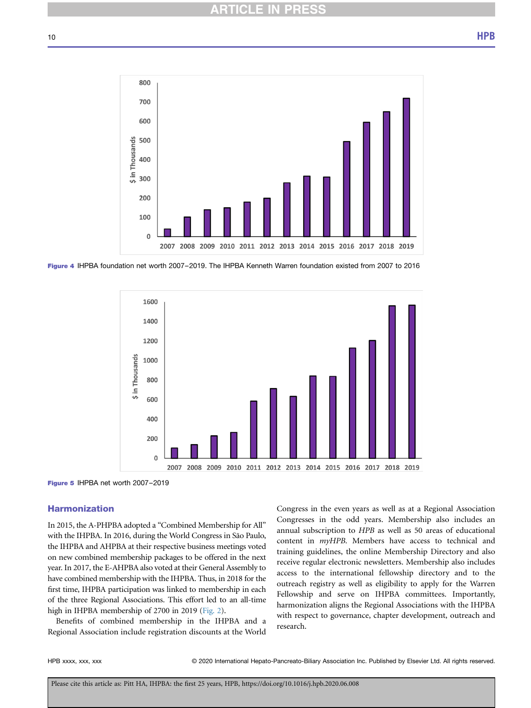#### **CLE IN PR**

<span id="page-9-0"></span>

Figure 4 IHPBA foundation net worth 2007–2019. The IHPBA Kenneth Warren foundation existed from 2007 to 2016



Figure 5 IHPBA net worth 2007–2019

## Harmonization

In 2015, the A-PHPBA adopted a "Combined Membership for All" with the IHPBA. In 2016, during the World Congress in São Paulo, the IHPBA and AHPBA at their respective business meetings voted on new combined membership packages to be offered in the next year. In 2017, the E-AHPBA also voted at their General Assembly to have combined membership with the IHPBA. Thus, in 2018 for the first time, IHPBA participation was linked to membership in each of the three Regional Associations. This effort led to an all-time high in IHPBA membership of 2700 in 2019 [\(Fig. 2](#page-5-0)).

Benefits of combined membership in the IHPBA and a Regional Association include registration discounts at the World

Congress in the even years as well as at a Regional Association Congresses in the odd years. Membership also includes an annual subscription to HPB as well as 50 areas of educational content in myHPB. Members have access to technical and training guidelines, the online Membership Directory and also receive regular electronic newsletters. Membership also includes access to the international fellowship directory and to the outreach registry as well as eligibility to apply for the Warren Fellowship and serve on IHPBA committees. Importantly, harmonization aligns the Regional Associations with the IHPBA with respect to governance, chapter development, outreach and research.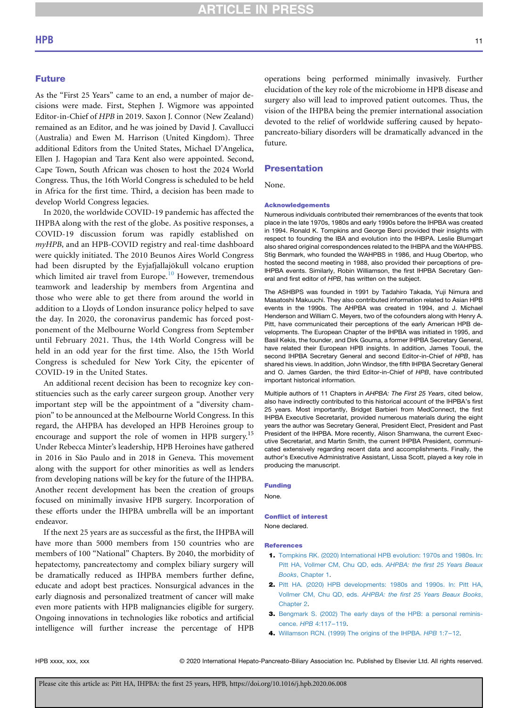#### Future

As the "First 25 Years" came to an end, a number of major decisions were made. First, Stephen J. Wigmore was appointed Editor-in-Chief of HPB in 2019. Saxon J. Connor (New Zealand) remained as an Editor, and he was joined by David J. Cavallucci (Australia) and Ewen M. Harrison (United Kingdom). Three additional Editors from the United States, Michael D'Angelica, Ellen J. Hagopian and Tara Kent also were appointed. Second, Cape Town, South African was chosen to host the 2024 World Congress. Thus, the 16th World Congress is scheduled to be held in Africa for the first time. Third, a decision has been made to develop World Congress legacies.

In 2020, the worldwide COVID-19 pandemic has affected the IHPBA along with the rest of the globe. As positive responses, a COVID-19 discussion forum was rapidly established on myHPB, and an HPB-COVID registry and real-time dashboard were quickly initiated. The 2010 Beunos Aires World Congress had been disrupted by the Eyjafjallajökull volcano eruption which limited air travel from Europe. $10$  However, tremendous teamwork and leadership by members from Argentina and those who were able to get there from around the world in addition to a Lloyds of London insurance policy helped to save the day. In 2020, the coronavirus pandemic has forced postponement of the Melbourne World Congress from September until February 2021. Thus, the 14th World Congress will be held in an odd year for the first time. Also, the 15th World Congress is scheduled for New York City, the epicenter of COVID-19 in the United States.

An additional recent decision has been to recognize key constituencies such as the early career surgeon group. Another very important step will be the appointment of a "diversity champion" to be announced at the Melbourne World Congress. In this regard, the AHPBA has developed an HPB Heroines group to encourage and support the role of women in HPB surgery.<sup>15</sup> Under Rebecca Minter's leadership, HPB Heroines have gathered in 2016 in São Paulo and in 2018 in Geneva. This movement along with the support for other minorities as well as lenders from developing nations will be key for the future of the IHPBA. Another recent development has been the creation of groups focused on minimally invasive HPB surgery. Incorporation of these efforts under the IHPBA umbrella will be an important endeavor.

If the next 25 years are as successful as the first, the IHPBA will have more than 5000 members from 150 countries who are members of 100 "National" Chapters. By 2040, the morbidity of hepatectomy, pancreatectomy and complex biliary surgery will be dramatically reduced as IHPBA members further define, educate and adopt best practices. Nonsurgical advances in the early diagnosis and personalized treatment of cancer will make even more patients with HPB malignancies eligible for surgery. Ongoing innovations in technologies like robotics and artificial intelligence will further increase the percentage of HPB

operations being performed minimally invasively. Further elucidation of the key role of the microbiome in HPB disease and surgery also will lead to improved patient outcomes. Thus, the vision of the IHPBA being the premier international association devoted to the relief of worldwide suffering caused by hepatopancreato-biliary disorders will be dramatically advanced in the future.

## **Presentation**

None.

#### Acknowledgements

Numerous individuals contributed their remembrances of the events that took place in the late 1970s, 1980s and early 1990s before the IHPBA was created in 1994. Ronald K. Tompkins and George Berci provided their insights with respect to founding the IBA and evolution into the IHBPA. Leslie Blumgart also shared original correspondences related to the IHBPA and the WAHPBS. Stig Benmark, who founded the WAHPBS in 1986, and Huug Obertop, who hosted the second meeting in 1988, also provided their perceptions of pre-IHPBA events. Similarly, Robin Williamson, the first IHPBA Secretary General and first editor of HPB, has written on the subject.

The ASHBPS was founded in 1991 by Tadahiro Takada, Yuji Nimura and Masatoshi Makuuchi. They also contributed information related to Asian HPB events in the 1990s. The AHPBA was created in 1994, and J. Michael Henderson and William C. Meyers, two of the cofounders along with Henry A. Pitt, have communicated their perceptions of the early American HPB developments. The European Chapter of the IHPBA was initiated in 1995, and Basil Kekis, the founder, and Dirk Gouma, a former IHPBA Secretary General, have related their European HPB insights. In addition, James Toouli, the second IHPBA Secretary General and second Editor-in-Chief of HPB, has shared his views. In addition, John Windsor, the fifth IHPBA Secretary General and O. James Garden, the third Editor-in-Chief of HPB, have contributed important historical information.

Multiple authors of 11 Chapters in AHPBA: The First 25 Years, cited below, also have indirectly contributed to this historical account of the IHPBA's first 25 years. Most importantly, Bridget Barbieri from MedConnect, the first IHPBA Executive Secretariat, provided numerous materials during the eight years the author was Secretary General, President Elect, President and Past President of the IHPBA. More recently, Alison Shamwana, the current Executive Secretariat, and Martin Smith, the current IHPBA President, communicated extensively regarding recent data and accomplishments. Finally, the author's Executive Administrative Assistant, Lissa Scott, played a key role in producing the manuscript.

#### Funding

None.

#### Conflict of interest None declared.

# References

- <span id="page-10-0"></span>1. [Tompkins RK. \(2020\) International HPB evolution: 1970s and 1980s. In:](http://refhub.elsevier.com/S1365-182X(20)31055-8/sref1) [Pitt HA, Vollmer CM, Chu QD, eds.](http://refhub.elsevier.com/S1365-182X(20)31055-8/sref1) AHPBA: the first 25 Years Beaux Books[, Chapter 1.](http://refhub.elsevier.com/S1365-182X(20)31055-8/sref1)
- <span id="page-10-1"></span>2. [Pitt HA. \(2020\) HPB developments: 1980s and 1990s. In: Pitt HA,](http://refhub.elsevier.com/S1365-182X(20)31055-8/sref2) [Vollmer CM, Chu QD, eds.](http://refhub.elsevier.com/S1365-182X(20)31055-8/sref2) AHPBA: the first 25 Years Beaux Books, [Chapter 2.](http://refhub.elsevier.com/S1365-182X(20)31055-8/sref2)
- <span id="page-10-2"></span>3. [Bengmark S. \(2002\) The early days of the HPB: a personal reminis](http://refhub.elsevier.com/S1365-182X(20)31055-8/sref3)[cence.](http://refhub.elsevier.com/S1365-182X(20)31055-8/sref3) HPB 4:117–119.
- <span id="page-10-3"></span>4. [Willamson RCN. \(1999\) The origins of the IHPBA.](http://refhub.elsevier.com/S1365-182X(20)31055-8/sref4) HPB 1:7-12.